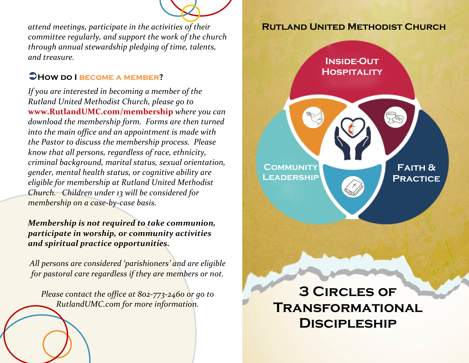

*attend meetings, participate in the activities of their committee regularly, and support the work of the church through annual stewardship pledging of time, talents, and treasure.*

## Ü**How do I become a member?**

*If you are interested in becoming a member of the Rutland United Methodist Church, please go to*  **www.RutlandUMC.com/membership** *where you can download the membership form. Forms are then turned into the main office and an appointment is made with the Pastor to discuss the membership process. Please know that all persons, regardless of race, ethnicity, criminal background, marital status, sexual orientation, gender, mental health status, or cognitive ability are eligible for membership at Rutland United Methodist Church. Children under 13 will be considered for membership on a case-by-case basis.* 

### *Membership is not required to take communion, participate in worship, or community activities and spiritual practice opportunities.*

*All persons are considered 'parishioners' and are eligible for pastoral care regardless if they are members or not.*

*Please contact the office at 802-773-2460 or go to RutlandUMC.com for more information.*